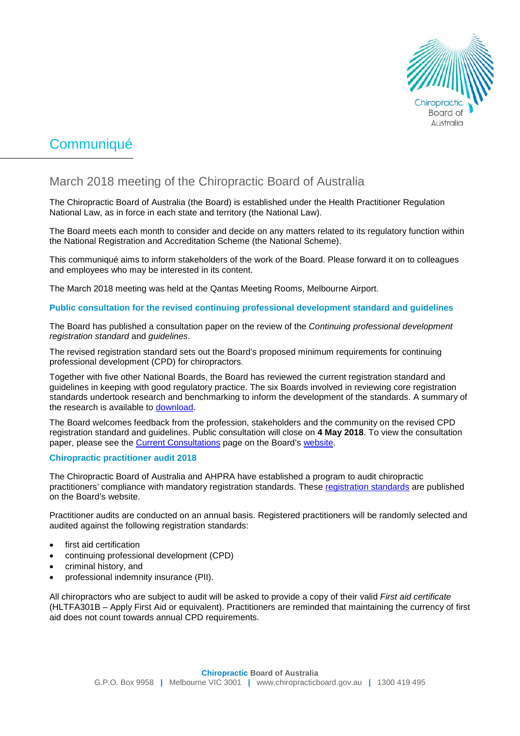

# **Communiqué**

# March 2018 meeting of the Chiropractic Board of Australia

The Chiropractic Board of Australia (the Board) is established under the Health Practitioner Regulation National Law, as in force in each state and territory (the National Law).

The Board meets each month to consider and decide on any matters related to its regulatory function within the National Registration and Accreditation Scheme (the National Scheme).

This communiqué aims to inform stakeholders of the work of the Board. Please forward it on to colleagues and employees who may be interested in its content.

The March 2018 meeting was held at the Qantas Meeting Rooms, Melbourne Airport.

## **Public consultation for the revised continuing professional development standard and guidelines**

The Board has published a consultation paper on the review of the *Continuing professional development registration standard* and *guidelines*.

The revised registration standard sets out the Board's proposed minimum requirements for continuing professional development (CPD) for chiropractors.

Together with five other National Boards, the Board has reviewed the current registration standard and guidelines in keeping with good regulatory practice. The six Boards involved in reviewing core registration standards undertook research and benchmarking to inform the development of the standards. A summary of the research is available to [download.](http://www.chiropracticboard.gov.au/documents/default.aspx?record=WD18%2f25042&dbid=AP&chksum=zj6FjqeFY8vyQKZ0vpenrg%3d%3d)

The Board welcomes feedback from the profession, stakeholders and the community on the revised CPD registration standard and guidelines. Public consultation will close on **4 May 2018**. To view the consultation paper, please see the **Current Consultations** page on the Board's [website.](http://www.chiropracticboard.gov.au/)

## **Chiropractic practitioner audit 2018**

The Chiropractic Board of Australia and AHPRA have established a program to audit chiropractic practitioners' compliance with mandatory registration standards. These [registration standards](http://www.chiropracticboard.gov.au/Registration-standards.aspx) are published on the Board's website.

Practitioner audits are conducted on an annual basis. Registered practitioners will be randomly selected and audited against the following registration standards:

- first aid certification
- continuing professional development (CPD)
- criminal history, and
- professional indemnity insurance (PII).

All chiropractors who are subject to audit will be asked to provide a copy of their valid *First aid certificate*  (HLTFA301B – Apply First Aid or equivalent). Practitioners are reminded that maintaining the currency of first aid does not count towards annual CPD requirements.